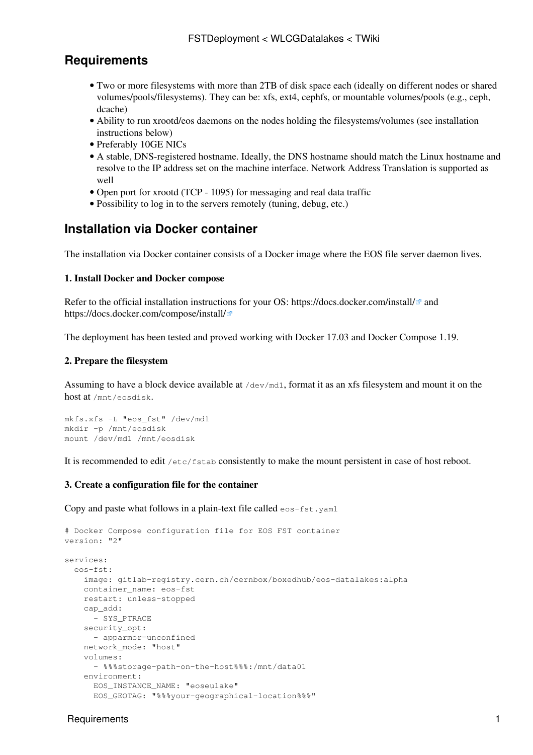## **Requirements**

- Two or more filesystems with more than 2TB of disk space each (ideally on different nodes or shared volumes/pools/filesystems). They can be: xfs, ext4, cephfs, or mountable volumes/pools (e.g., ceph, dcache)
- Ability to run xrootd/eos daemons on the nodes holding the filesystems/volumes (see installation instructions below)
- Preferably 10GE NICs
- A stable, DNS-registered hostname. Ideally, the DNS hostname should match the Linux hostname and resolve to the IP address set on the machine interface. Network Address Translation is supported as well
- Open port for xrootd (TCP 1095) for messaging and real data traffic
- Possibility to log in to the servers remotely (tuning, debug, etc.)

## **Installation via Docker container**

The installation via Docker container consists of a Docker image where the EOS file server daemon lives.

#### **1. Install Docker and Docker compose**

Refer to the official installation instructions for your OS: https://docs.docker.com/install/ $\mathbb{F}$  and <https://docs.docker.com/compose/install/>

The deployment has been tested and proved working with Docker 17.03 and Docker Compose 1.19.

### **2. Prepare the filesystem**

Assuming to have a block device available at /dev/md1, format it as an xfs filesystem and mount it on the host at /mnt/eosdisk.

```
mkfs.xfs -L "eos_fst" /dev/md1
mkdir -p /mnt/eosdisk
mount /dev/md1 /mnt/eosdisk
```
It is recommended to edit /etc/fstab consistently to make the mount persistent in case of host reboot.

#### **3. Create a configuration file for the container**

Copy and paste what follows in a plain-text file called  $\epsilon$  os-fst.yaml

```
# Docker Compose configuration file for EOS FST container
version: "2"
services:
  eos-fst:
    image: gitlab-registry.cern.ch/cernbox/boxedhub/eos-datalakes:alpha
     container_name: eos-fst
     restart: unless-stopped
     cap_add:
      - SYS_PTRACE
     security_opt:
      - apparmor=unconfined
    network_mode: "host"
     volumes:
       - %%%storage-path-on-the-host%%%:/mnt/data01
     environment:
       EOS_INSTANCE_NAME: "eoseulake"
       EOS_GEOTAG: "%%%your-geographical-location%%%"
```